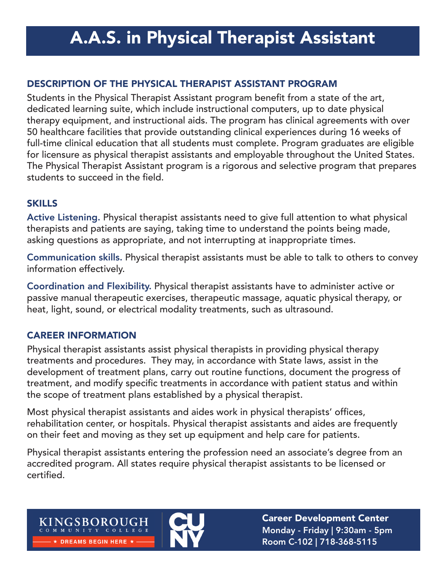# A.A.S. in Physical Therapist Assistant

## DESCRIPTION OF THE PHYSICAL THERAPIST ASSISTANT PROGRAM

Students in the Physical Therapist Assistant program benefit from a state of the art, dedicated learning suite, which include instructional computers, up to date physical therapy equipment, and instructional aids. The program has clinical agreements with over 50 healthcare facilities that provide outstanding clinical experiences during 16 weeks of full-time clinical education that all students must complete. Program graduates are eligible for licensure as physical therapist assistants and employable throughout the United States. The Physical Therapist Assistant program is a rigorous and selective program that prepares students to succeed in the field.

### SKILLS

Active Listening. Physical therapist assistants need to give full attention to what physical therapists and patients are saying, taking time to understand the points being made, asking questions as appropriate, and not interrupting at inappropriate times.

Communication skills. Physical therapist assistants must be able to talk to others to convey information effectively.

Coordination and Flexibility. Physical therapist assistants have to administer active or passive manual therapeutic exercises, therapeutic massage, aquatic physical therapy, or heat, light, sound, or electrical modality treatments, such as ultrasound.

### CAREER INFORMATION

KINGSBOROUGH COMMUNITY COLLEGE  $\star$  DREAMS BEGIN HERE  $\star$ 

Physical therapist assistants assist physical therapists in providing physical therapy treatments and procedures. They may, in accordance with State laws, assist in the development of treatment plans, carry out routine functions, document the progress of treatment, and modify specific treatments in accordance with patient status and within the scope of treatment plans established by a physical therapist.

Most physical therapist assistants and aides work in physical therapists' offices, rehabilitation center, or hospitals. Physical therapist assistants and aides are frequently on their feet and moving as they set up equipment and help care for patients.

Physical therapist assistants entering the profession need an associate's degree from an accredited program. All states require physical therapist assistants to be licensed or certified.

> Career Development Center Monday - Friday | 9:30am - 5pm Room C-102 | 718-368-5115